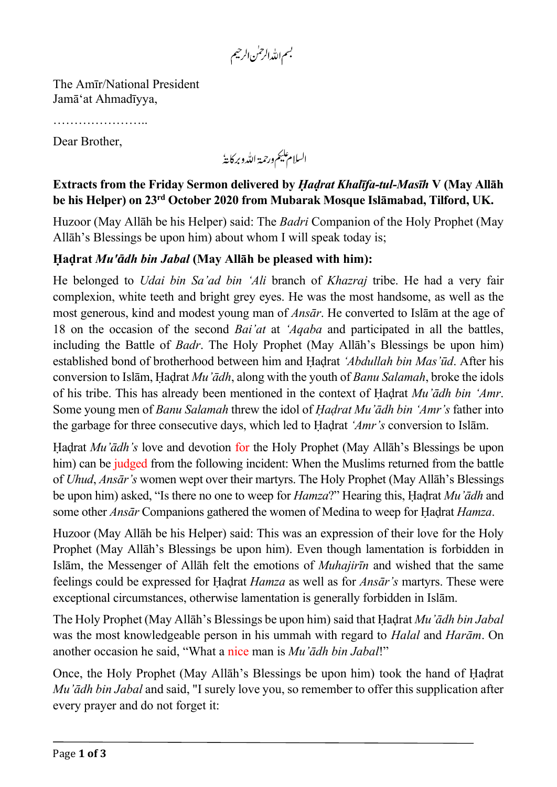بسم الله الرحمٰن الرحيم

The Amīr/National President Jamā'at Ahmadīyya,

……………………………

Dear Brother,

السلام عليم ورحمة الله وبركايةُ

## **Extracts from the Friday Sermon delivered by** *Ḥaḍrat Khalīfa-tul-Masīh* **V (May Allāh be his Helper) on 23rd October 2020 from Mubarak Mosque Islāmabad, Tilford, UK.**

Huzoor (May Allāh be his Helper) said: The *Badri* Companion of the Holy Prophet (May Allāh's Blessings be upon him) about whom I will speak today is;

## **Ḥaḍrat** *Mu'ādh bin Jabal* **(May Allāh be pleased with him):**

He belonged to *Udai bin Sa'ad bin 'Ali* branch of *Khazraj* tribe. He had a very fair complexion, white teeth and bright grey eyes. He was the most handsome, as well as the most generous, kind and modest young man of *Ansār*. He converted to Islām at the age of 18 on the occasion of the second *Bai'at* at *'Aqaba* and participated in all the battles, including the Battle of *Badr*. The Holy Prophet (May Allāh's Blessings be upon him) established bond of brotherhood between him and Ḥaḍrat *'Abdullah bin Mas'ūd*. After his conversion to Islām, Ḥaḍrat *Mu'ādh*, along with the youth of *Banu Salamah*, broke the idols of his tribe. This has already been mentioned in the context of Ḥaḍrat *Mu'ādh bin 'Amr*. Some young men of *Banu Salamah* threw the idol of *Ḥaḍrat Mu'ādh bin 'Amr's* father into the garbage for three consecutive days, which led to Ḥaḍrat *'Amr's* conversion to Islām.

Ḥaḍrat *Mu'ādh's* love and devotion for the Holy Prophet (May Allāh's Blessings be upon him) can be judged from the following incident: When the Muslims returned from the battle of *Uhud*, *Ansār's* women wept over their martyrs. The Holy Prophet (May Allāh's Blessings be upon him) asked, "Is there no one to weep for *Hamza*?" Hearing this, Ḥaḍrat *Mu'ādh* and some other *Ansār* Companions gathered the women of Medina to weep for Ḥaḍrat *Hamza*.

Huzoor (May Allāh be his Helper) said: This was an expression of their love for the Holy Prophet (May Allāh's Blessings be upon him). Even though lamentation is forbidden in Islām, the Messenger of Allāh felt the emotions of *Muhajirīn* and wished that the same feelings could be expressed for Ḥaḍrat *Hamza* as well as for *Ansār's* martyrs. These were exceptional circumstances, otherwise lamentation is generally forbidden in Islām.

The Holy Prophet (May Allāh's Blessings be upon him) said that Ḥaḍrat *Mu'ādh bin Jabal* was the most knowledgeable person in his ummah with regard to *Halal* and *Harām*. On another occasion he said, "What a nice man is *Mu'ādh bin Jabal*!"

Once, the Holy Prophet (May Allāh's Blessings be upon him) took the hand of Ḥaḍrat *Mu'ādh bin Jabal* and said, "I surely love you, so remember to offer this supplication after every prayer and do not forget it: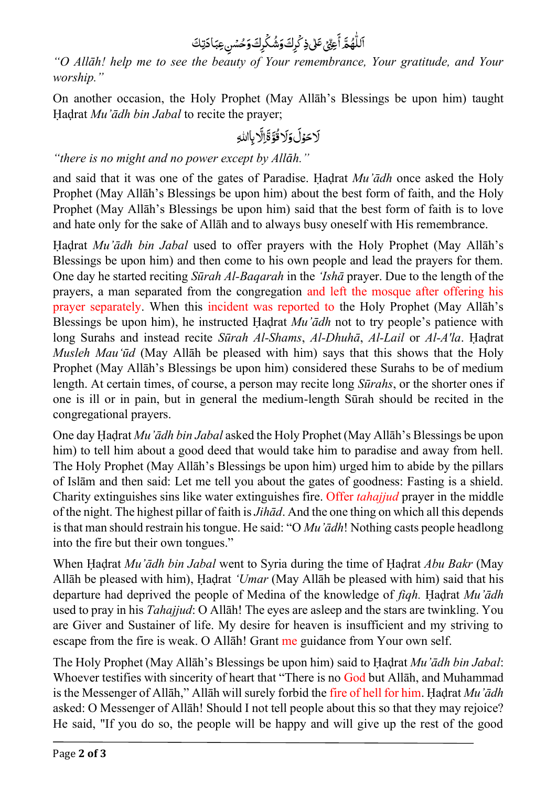$\mathbf{I}$ ا  $\overline{a}$ ر<br>آ ِ<br>للْهُمَّ أَعِيِّ أ ۿؙۿؓ ٲۘ؏ێٙؿٙ؆ڵؿ؋ػٛڕڬۅٙۺۢڬٞڔڬۅؘڂۺڹ؏ؾؘٵۮؾڬ ي ك و<br>په ش و ِك ر ي ِذك

*"O Allāh! help me to see the beauty of Your remembrance, Your gratitude, and Your worship."*

On another occasion, the Holy Prophet (May Allāh's Blessings be upon him) taught Ḥaḍrat *Mu'ādh bin Jabal* to recite the prayer;

ي و ح  $\tilde{1}$ َل و  $\tilde{1}$ ل و و<br>ا ق ر<br>آ َل أأ ِاَل  $\ddot{z}$ ةِاِلابِاللهِ

*"there is no [might](https://en.wiktionary.org/wiki/might) and no [power](https://en.wiktionary.org/wiki/power) except by [All](https://en.wiktionary.org/wiki/God)āh."*

and said that it was one of the gates of Paradise. Ḥaḍrat *Mu'ādh* once asked the Holy Prophet (May Allāh's Blessings be upon him) about the best form of faith, and the Holy Prophet (May Allāh's Blessings be upon him) said that the best form of faith is to love and hate only for the sake of Allāh and to always busy oneself with His remembrance.

Ḥaḍrat *Mu'ādh bin Jabal* used to offer prayers with the Holy Prophet (May Allāh's Blessings be upon him) and then come to his own people and lead the prayers for them. One day he started reciting *Sūrah Al-Baqarah* in the *'Ishā* prayer. Due to the length of the prayers, a man separated from the congregation and left the mosque after offering his prayer separately. When this incident was reported to the Holy Prophet (May Allāh's Blessings be upon him), he instructed Ḥaḍrat *Mu'ādh* not to try people's patience with long Surahs and instead recite *Sūrah Al-Shams*, *Al-Dhuhā*, *Al-Lail* or *Al-A'la*. Ḥaḍrat *Musleh Mau'ūd* (May Allāh be pleased with him) says that this shows that the Holy Prophet (May Allāh's Blessings be upon him) considered these Surahs to be of medium length. At certain times, of course, a person may recite long *Sūrahs*, or the shorter ones if one is ill or in pain, but in general the medium-length Sūrah should be recited in the congregational prayers.

One day Ḥaḍrat *Mu'ādh bin Jabal* asked the Holy Prophet (May Allāh's Blessings be upon him) to tell him about a good deed that would take him to paradise and away from hell. The Holy Prophet (May Allāh's Blessings be upon him) urged him to abide by the pillars of Islām and then said: Let me tell you about the gates of goodness: Fasting is a shield. Charity extinguishes sins like water extinguishes fire. Offer *tahajjud* prayer in the middle of the night. The highest pillar of faith is *Jihād*. And the one thing on which all this depends is that man should restrain his tongue. He said: "O *Mu'ādh*! Nothing casts people headlong into the fire but their own tongues."

When Ḥaḍrat *Mu'ādh bin Jabal* went to Syria during the time of Ḥaḍrat *Abu Bakr* (May Allāh be pleased with him), Ḥaḍrat *'Umar* (May Allāh be pleased with him) said that his departure had deprived the people of Medina of the knowledge of *fiqh.* Ḥaḍrat *Mu'ādh* used to pray in his *Tahajjud*: O Allāh! The eyes are asleep and the stars are twinkling. You are Giver and Sustainer of life. My desire for heaven is insufficient and my striving to escape from the fire is weak. O Allāh! Grant me guidance from Your own self.

The Holy Prophet (May Allāh's Blessings be upon him) said to Ḥaḍrat *Mu'ādh bin Jabal*: Whoever testifies with sincerity of heart that "There is no God but Allah, and Muhammad is the Messenger of Allāh," Allāh will surely forbid the fire of hell for him. Ḥaḍrat *Mu'ādh* asked: O Messenger of Allāh! Should I not tell people about this so that they may rejoice? He said, "If you do so, the people will be happy and will give up the rest of the good